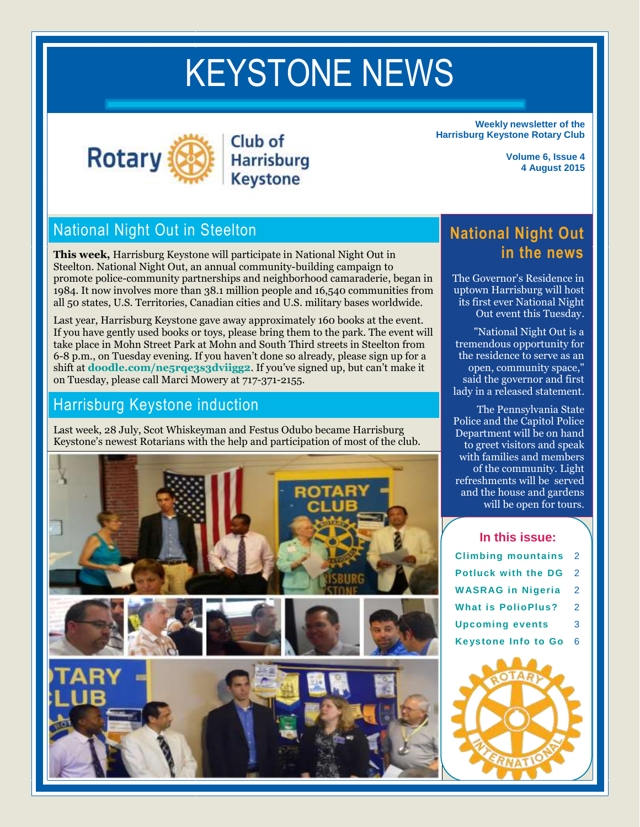# KEYSTONE NEWS



KEYSTONE NEWS

Club of **Harrisburg Keystone** 

**Weekly newsletter of the Harrisburg Keystone Rotary Club**

> **Volume 6, Issue 4 4 August 2015**

# National Night Out in Steelton

**This week,** Harrisburg Keystone will participate in National Night Out in Steelton. National Night Out, an annual community-building campaign to promote police-community partnerships and neighborhood camaraderie, began in 1984. It now involves more than 38.1 million people and 16,540 communities from all 50 states, U.S. Territories, Canadian cities and U.S. military bases worldwide.

Last year, Harrisburg Keystone gave away approximately 160 books at the event. If you have gently used books or toys, please bring them to the park. The event will take place in Mohn Street Park at Mohn and South Third streets in Steelton from 6-8 p.m., on Tuesday evening. If you haven't done so already, please sign up for a shift at **[doodle.com/ne5rqe3s3dviigg2](file://hbusers/users/alainek/rotary/doodle.com/ne5rqe3s3dviigg2)**. If you've signed up, but can't make it on Tuesday, please call Marci Mowery at 717-371-2155.

# Harrisburg Keystone induction

Last week, 28 July, Scot Whiskeyman and Festus Odubo became Harrisburg Keystone's newest Rotarians with the help and participation of most of the club.



**National Night Out in the news**

The Governor's Residence in uptown Harrisburg will host its first ever National Night Out event this Tuesday.

"National Night Out is a tremendous opportunity for the residence to serve as an open, community space," said the governor and first lady in a released statement.

The Pennsylvania State Police and the Capitol Police Department will be on hand to greet visitors and speak with families and members of the community. Light refreshments will be served and the house and gardens will be open for tours.

**In this issue: [Climbing mountains](#page-1-0)** 2 **[Potluck with the DG](#page-1-1)** 2 **[WASRAG in Nigeria](#page-1-2)** 2 **[What is PolioPlus?](#page-1-3)** 2 **[Upcoming events](#page-2-0)** 3 **[Keystone Info to Go](#page-5-0)** 6

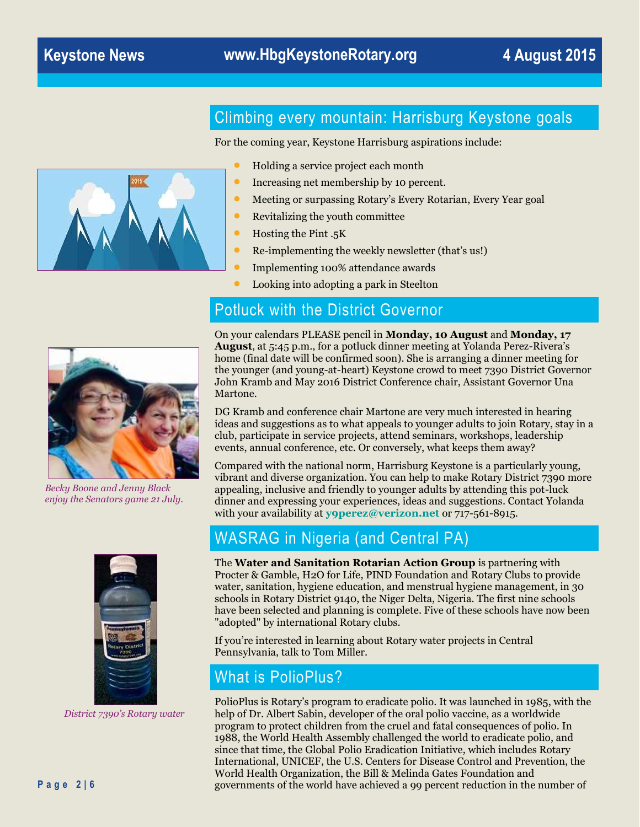<span id="page-1-0"></span>

For the coming year, Keystone Harrisburg aspirations include:

- Holding a service project each month
- Increasing net membership by 10 percent.
- Meeting or surpassing Rotary's Every Rotarian, Every Year goal
- Revitalizing the youth committee
- **•** Hosting the Pint .5K
- Re-implementing the weekly newsletter (that's us!)
- **Implementing 100% attendance awards**
- Looking into adopting a park in Steelton

# <span id="page-1-1"></span>Potluck with the District Governor

*Becky Boone and Jenny Black enjoy the Senators game 21 July.*



*District 7390's Rotary water*

On your calendars PLEASE pencil in **Monday, 10 August** and **Monday, 17 August**, at 5:45 p.m., for a potluck dinner meeting at Yolanda Perez-Rivera's home (final date will be confirmed soon). She is arranging a dinner meeting for the younger (and young-at-heart) Keystone crowd to meet 7390 District Governor John Kramb and May 2016 District Conference chair, Assistant Governor Una Martone.

DG Kramb and conference chair Martone are very much interested in hearing ideas and suggestions as to what appeals to younger adults to join Rotary, stay in a club, participate in service projects, attend seminars, workshops, leadership events, annual conference, etc. Or conversely, what keeps them away?

Compared with the national norm, Harrisburg Keystone is a particularly young, vibrant and diverse organization. You can help to make Rotary District 7390 more appealing, inclusive and friendly to younger adults by attending this pot-luck dinner and expressing your experiences, ideas and suggestions. Contact Yolanda with your availability at **[y9perez@verizon.net](mailto:y9perez@verizon.net)** or 717-561-8915.

# <span id="page-1-2"></span>WASRAG in Nigeria (and Central PA)

The **Water and Sanitation Rotarian Action Group** is partnering with Procter & Gamble, H2O for Life, PIND Foundation and Rotary Clubs to provide water, sanitation, hygiene education, and menstrual hygiene management, in 30 schools in Rotary District 9140, the Niger Delta, Nigeria. The first nine schools have been selected and planning is complete. Five of these schools have now been "adopted" by international Rotary clubs.

If you're interested in learning about Rotary water projects in Central Pennsylvania, talk to Tom Miller.

# <span id="page-1-3"></span>What is PolioPlus?

PolioPlus is Rotary's program to eradicate polio. It was launched in 1985, with the help of Dr. Albert Sabin, developer of the oral polio vaccine, as a worldwide program to protect children from the cruel and fatal consequences of polio. In 1988, the World Health Assembly challenged the world to eradicate polio, and since that time, the Global Polio Eradication Initiative, which includes Rotary International, UNICEF, the U.S. Centers for Disease Control and Prevention, the World Health Organization, the Bill & Melinda Gates Foundation and governments of the world have achieved a 99 percent reduction in the number of

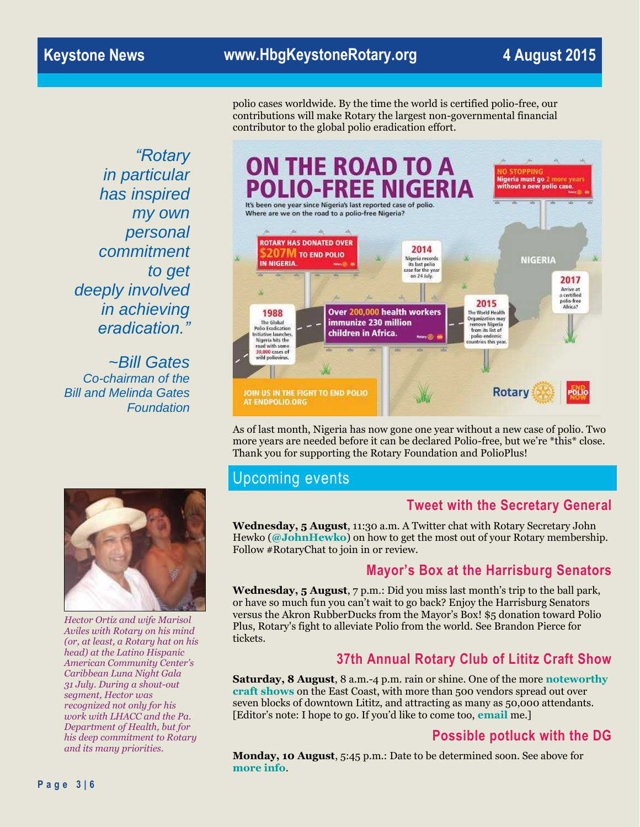# **Keystone News www.HbgKeystoneRotary.org 4 August 2015**

contributor to the global polio eradication effort.

*"Rotary in particular has inspired my own personal commitment to get deeply involved in achieving eradication."*

*~Bill Gates Co-chairman of the Bill and Melinda Gates Foundation*



polio cases worldwide. By the time the world is certified polio-free, our contributions will make Rotary the largest non-governmental financial

As of last month, Nigeria has now gone one year without a new case of polio. Two more years are needed before it can be declared Polio-free, but we're \*this\* close. Thank you for supporting the Rotary Foundation and PolioPlus!

# <span id="page-2-0"></span>Upcoming events

#### **Tweet with the Secretary General**

**Wednesday, 5 August**, 11:30 a.m. A Twitter chat with Rotary Secretary John Hewko (**[@JohnHewko](https://twitter.com/JohnHewko)**) on how to get the most out of your Rotary membership. Follow #RotaryChat to join in or review.

# **Mayor's Box at the Harrisburg Senators**

**Wednesday, 5 August**, 7 p.m.: Did you miss last month's trip to the ball park, or have so much fun you can't wait to go back? Enjoy the Harrisburg Senators versus the Akron RubberDucks from the Mayor's Box! \$5 donation toward Polio Plus, Rotary's fight to alleviate Polio from the world. See Brandon Pierce for tickets.

# **37th Annual Rotary Club of Lititz Craft Show**

**Saturday, 8 August**, 8 a.m.-4 p.m. rain or shine. One of the more **[noteworthy](http://www.lititzrotary.com/craft-show.html)  [craft shows](http://www.lititzrotary.com/craft-show.html)** on the East Coast, with more than 500 vendors spread out over seven blocks of downtown Lititz, and attracting as many as 50,000 attendants. [Editor's note: I hope to go. If you'd like to come too, **[email](mailto:keisling@gmail.com)** me.]

# **Possible potluck with the DG**

**Monday, 10 August**, 5:45 p.m.: Date to be determined soon. See above for **[more info](#page-1-1)**.



*Hector Ortiz and wife Marisol Aviles with Rotary on his mind (or, at least, a Rotary hat on his head) at the Latino Hispanic American Community Center's Caribbean Luna Night Gala 31 July. During a shout-out segment, Hector was recognized not only for his work with LHACC and the Pa. Department of Health, but for his deep commitment to Rotary and its many priorities.*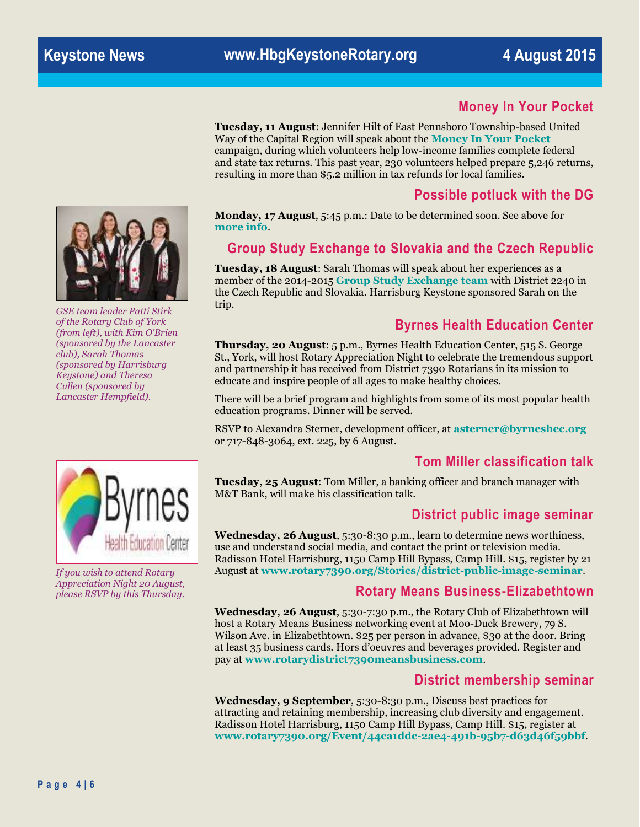#### **Money In Your Pocket**

**Tuesday, 11 August**: Jennifer Hilt of East Pennsboro Township-based United Way of the Capital Region will speak about the **[Money In Your Pocket](https://www.uwcr.org/how-we-help/resources/money-in-your-pocket)** campaign, during which volunteers help low-income families complete federal and state tax returns. This past year, 230 volunteers helped prepare 5,246 returns, resulting in more than \$5.2 million in tax refunds for local families.

#### **Possible potluck with the DG**

**Monday, 17 August**, 5:45 p.m.: Date to be determined soon. See above for **[more info](#page-1-1)**.

#### **Group Study Exchange to Slovakia and the Czech Republic**

**Tuesday, 18 August**: Sarah Thomas will speak about her experiences as a member of the 2014-2015 **[Group Study Exchange team](https://rotarygse7390to2240.wordpress.com/)** with District 2240 in the Czech Republic and Slovakia. Harrisburg Keystone sponsored Sarah on the trip.

#### **Byrnes Health Education Center**

**Thursday, 20 August**: 5 p.m., Byrnes Health Education Center, 515 S. George St., York, will host Rotary Appreciation Night to celebrate the tremendous support and partnership it has received from District 7390 Rotarians in its mission to educate and inspire people of all ages to make healthy choices.

There will be a brief program and highlights from some of its most popular health education programs. Dinner will be served.

RSVP to Alexandra Sterner, development officer, at **[asterner@byrneshec.org](mailto:asterner@byrneshec.org)** or 717-848-3064, ext. 225, by 6 August.

#### **Tom Miller classification talk**

**Tuesday, 25 August**: Tom Miller, a banking officer and branch manager with M&T Bank, will make his classification talk.

#### **District public image seminar**

**Wednesday, 26 August**, 5:30-8:30 p.m., learn to determine news worthiness, use and understand social media, and contact the print or television media. Radisson Hotel Harrisburg, 1150 Camp Hill Bypass, Camp Hill. \$15, register by 21 August at **[www.rotary7390.org/Stories/district-public-image-seminar](http://www.rotary7390.org/Stories/district-public-image-seminar)**.

#### **Rotary Means Business-Elizabethtown**

**Wednesday, 26 August**, 5:30-7:30 p.m., the Rotary Club of Elizabethtown will host a Rotary Means Business networking event at Moo-Duck Brewery, 79 S. Wilson Ave. in Elizabethtown. \$25 per person in advance, \$30 at the door. Bring at least 35 business cards. Hors d'oeuvres and beverages provided. Register and pay at **[www.rotarydistrict7390meansbusiness.com](file://hbusers/users/alainek/rotary/www.rotarydistrict7390meansbusiness.com)**.

#### **District membership seminar**

**Wednesday, 9 September**, 5:30-8:30 p.m., Discuss best practices for attracting and retaining membership, increasing club diversity and engagement. Radisson Hotel Harrisburg, 1150 Camp Hill Bypass, Camp Hill. \$15, register at **[www.rotary7390.org/Event/44ca1ddc-2ae4-491b-95b7-d63d46f59bbf](file://hbusers/users/alainek/rotary/www.rotary7390.org/Event/44ca1ddc-2ae4-491b-95b7-d63d46f59bbf)**.



*GSE team leader Patti Stirk of the Rotary Club of York (from left), with Kim O'Brien (sponsored by the Lancaster club), Sarah Thomas (sponsored by Harrisburg Keystone) and Theresa Cullen (sponsored by Lancaster Hempfield).*



*If you wish to attend Rotary Appreciation Night 20 August, please RSVP by this Thursday.*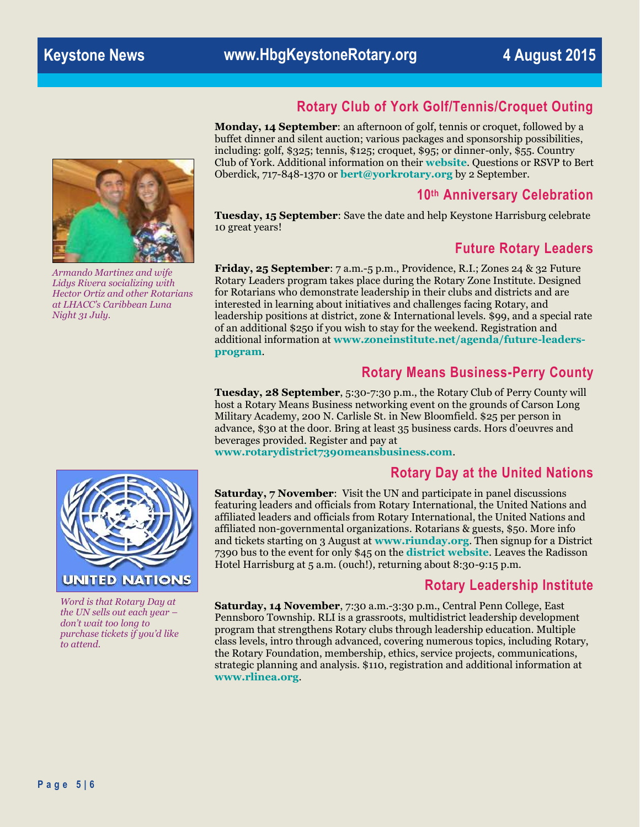# **Rotary Club of York Golf/Tennis/Croquet Outing**

**Monday, 14 September**: an afternoon of golf, tennis or croquet, followed by a buffet dinner and silent auction; various packages and sponsorship possibilities, including: golf, \$325; tennis, \$125; croquet, \$95; or dinner-only, \$55. Country Club of York. Additional information on their **[website](http://www.yorkrotary.org/forms.aspx)**. Questions or RSVP to Bert Oberdick, 717-848-1370 or **[bert@yorkrotary.org](mailto:bert@yorkrotary.org)** by 2 September.

#### **10th Anniversary Celebration**

**Tuesday, 15 September**: Save the date and help Keystone Harrisburg celebrate 10 great years!

#### **Future Rotary Leaders**

**Friday, 25 September**: 7 a.m.-5 p.m., Providence, R.I.; Zones 24 & 32 Future Rotary Leaders program takes place during the Rotary Zone Institute. Designed for Rotarians who demonstrate leadership in their clubs and districts and are interested in learning about initiatives and challenges facing Rotary, and leadership positions at district, zone & International levels. \$99, and a special rate of an additional \$250 if you wish to stay for the weekend. Registration and additional information at **[www.zoneinstitute.net/agenda/future-leaders](file://hbusers/users/alainek/rotary/www.zoneinstitute.net/agenda/future-leaders-program)[program](file://hbusers/users/alainek/rotary/www.zoneinstitute.net/agenda/future-leaders-program)**.

#### **Rotary Means Business-Perry County**

**Tuesday, 28 September**, 5:30-7:30 p.m., the Rotary Club of Perry County will host a Rotary Means Business networking event on the grounds of Carson Long Military Academy, 200 N. Carlisle St. in New Bloomfield. \$25 per person in advance, \$30 at the door. Bring at least 35 business cards. Hors d'oeuvres and beverages provided. Register and pay at

**[www.rotarydistrict7390meansbusiness.com](http://www.rotarydistrict7390meansbusiness.com/)**.

#### **Rotary Day at the United Nations**

**Saturday, 7 November**: Visit the UN and participate in panel discussions featuring leaders and officials from Rotary International, the United Nations and affiliated leaders and officials from Rotary International, the United Nations and affiliated non-governmental organizations. Rotarians & guests, \$50. More info and tickets starting on 3 August at **<www.riunday.org>**. Then signup for a District 7390 bus to the event for only \$45 on the **[district website](http://www.rotary7390.org/Page/united-nations-day-november-7-2015)**. Leaves the Radisson Hotel Harrisburg at 5 a.m. (ouch!), returning about 8:30-9:15 p.m.

#### **Rotary Leadership Institute**

**Saturday, 14 November**, 7:30 a.m.-3:30 p.m., Central Penn College, East Pennsboro Township. RLI is a grassroots, multidistrict leadership development program that strengthens Rotary clubs through leadership education. Multiple class levels, intro through advanced, covering numerous topics, including Rotary, the Rotary Foundation, membership, ethics, service projects, communications, strategic planning and analysis. \$110, registration and additional information at **[www.rlinea.org](file://hbusers/users/alainek/rotary/www.rlinea.org)**.



*Armando Martinez and wife Lidys Rivera socializing with Hector Ortiz and other Rotarians at LHACC's Caribbean Luna Night 31 July.*



*Word is that Rotary Day at the UN sells out each year – don't wait too long to purchase tickets if you'd like to attend.*